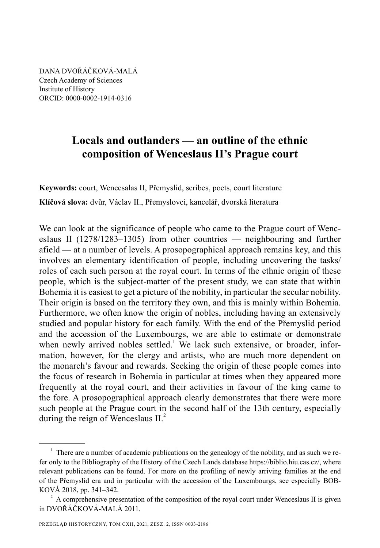DANA DVOŘÁČKOVÁ-MALÁ Czech Academy of Sciences Institute of History ORCID: 0000-0002-1914-0316

# **Locals and outlanders — an outline of the ethnic composition of Wenceslaus II's Prague court**

**Keywords:** court, Wencesalas II, Přemyslid, scribes, poets, court literature **Klíčová slova:** dvůr, Václav II., Přemyslovci, kancelář, dvorská literatura

We can look at the significance of people who came to the Prague court of Wenceslaus II (1278/1283–1305) from other countries — neighbouring and further afield — at a number of levels. A prosopographical approach remains key, and this involves an elementary identification of people, including uncovering the tasks/ roles of each such person at the royal court. In terms of the ethnic origin of these people, which is the subject-matter of the present study, we can state that within Bohemia it is easiest to get a picture of the nobility, in particular the secular nobility. Their origin is based on the territory they own, and this is mainly within Bohemia. Furthermore, we often know the origin of nobles, including having an extensively studied and popular history for each family. With the end of the Přemyslid period and the accession of the Luxembourgs, we are able to estimate or demonstrate when newly arrived nobles settled.<sup>1</sup> We lack such extensive, or broader, information, however, for the clergy and artists, who are much more dependent on the monarch's favour and rewards. Seeking the origin of these people comes into the focus of research in Bohemia in particular at times when they appeared more frequently at the royal court, and their activities in favour of the king came to the fore. A prosopographical approach clearly demonstrates that there were more such people at the Prague court in the second half of the 13th century, especially during the reign of Wenceslaus  $II<sup>2</sup>$ .

 $1$  There are a number of academic publications on the genealogy of the nobility, and as such we refer only to the Bibliography of the History of the Czech Lands database https://biblio.hiu.cas.cz/, where relevant publications can be found. For more on the profiling of newly arriving families at the end of the Přemyslid era and in particular with the accession of the Luxembourgs, see especially BOB-KOVÁ 2018, pp. 341–342.

 $2^2$  A comprehensive presentation of the composition of the royal court under Wenceslaus II is given in DVOŘÁČKOVÁ-MALÁ 2011.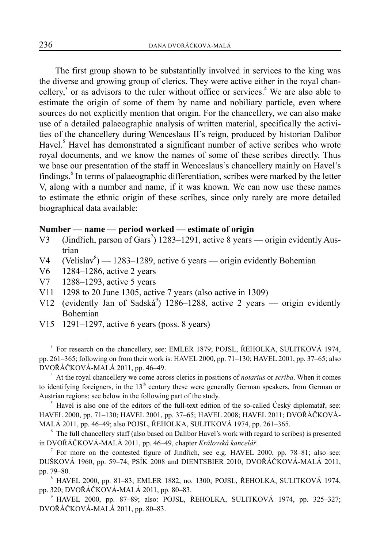The first group shown to be substantially involved in services to the king was the diverse and growing group of clerics. They were active either in the royal chancellery,<sup>3</sup> or as advisors to the ruler without office or services.<sup>4</sup> We are also able to estimate the origin of some of them by name and nobiliary particle, even where sources do not explicitly mention that origin. For the chancellery, we can also make use of a detailed palaeographic analysis of written material, specifically the activities of the chancellery during Wenceslaus II's reign, produced by historian Dalibor Havel.<sup>5</sup> Havel has demonstrated a significant number of active scribes who wrote royal documents, and we know the names of some of these scribes directly. Thus we base our presentation of the staff in Wenceslaus's chancellery mainly on Havel's findings.<sup>6</sup> In terms of palaeographic differentiation, scribes were marked by the letter V, along with a number and name, if it was known. We can now use these names to estimate the ethnic origin of these scribes, since only rarely are more detailed biographical data available:

# **Number — name — period worked — estimate of origin**

- V3 (Jindřich, parson of Gars<sup>7</sup>) 1283–1291, active 8 years origin evidently Austrian
- V4 (Velislav<sup>8</sup>) 1283–1289, active 6 years origin evidently Bohemian
- V6 1284–1286, active 2 years
- V7 1288–1293, active 5 years
- V11 1298 to 20 June 1305, active 7 years (also active in 1309)
- V12 (evidently Jan of Sadská<sup>9</sup>) 1286–1288, active 2 years origin evidently Bohemian
- V15 1291–1297, active 6 years (poss. 8 years)

<sup>&</sup>lt;sup>3</sup> For research on the chancellery, see: EMLER 1879; POJSL, ŘEHOLKA, SULITKOVÁ 1974, pp. 261–365; following on from their work is: HAVEL 2000, pp. 71–130; HAVEL 2001, pp. 37–65; also DVOŘÁČKOVÁ-MALÁ 2011, pp. 46–49.

<sup>4</sup> At the royal chancellery we come across clerics in positions of *notarius* or *scriba*. When it comes to identifying foreigners, in the  $13<sup>th</sup>$  century these were generally German speakers, from German or Austrian regions; see below in the following part of the study.

<sup>&</sup>lt;sup>5</sup> Havel is also one of the editors of the full-text edition of the so-called Ćeský diplomatář, see: HAVEL 2000, pp. 71–130; HAVEL 2001, pp. 37–65; HAVEL 2008; HAVEL 2011; DVOŘÁČKOVÁ-MALÁ 2011, pp. 46–49; also POJSL, ŘEHOLKA, SULITKOVÁ 1974, pp. 261–365.

<sup>&</sup>lt;sup>6</sup> The full chancellery staff (also based on Dalibor Havel's work with regard to scribes) is presented in DVOŘÁČKOVÁ-MALÁ 2011, pp. 46–49, chapter *Královská kancelář*.

<sup>&</sup>lt;sup>7</sup> For more on the contested figure of Jindřich, see e.g. HAVEL 2000, pp. 78–81; also see: DUŠKOVÁ 1960, pp. 59–74; PSÍK 2008 and DIENTSBIER 2010; DVOŘÁČKOVÁ-MALÁ 2011, pp. 79–80.

<sup>8</sup> HAVEL 2000, pp. 81–83; EMLER 1882, no. 1300; POJSL, ŘEHOLKA, SULITKOVÁ 1974, pp. 320; DVOŘÁČKOVÁ-MALÁ 2011, pp. 80–83.

<sup>9</sup> HAVEL 2000, pp. 87–89; also: POJSL, ŘEHOLKA, SULITKOVÁ 1974, pp. 325–327; DVOŘÁČKOVÁ-MALÁ 2011, pp. 80–83.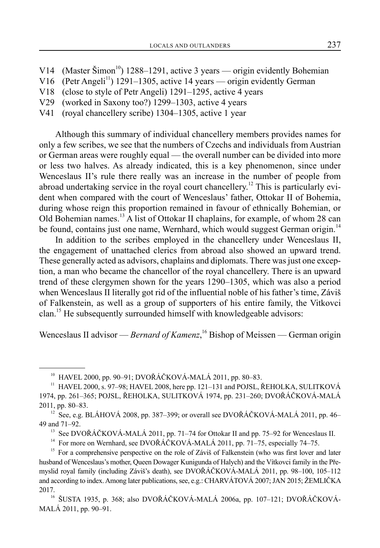- V14 (Master Šimon<sup>10</sup>) 1288–1291, active 3 years origin evidently Bohemian
- V16 (Petr Angeli<sup>11</sup>) 1291–1305, active 14 years origin evidently German
- V18 (close to style of Petr Angeli) 1291–1295, active 4 years
- V29 (worked in Saxony too?) 1299–1303, active 4 years
- V41 (royal chancellery scribe) 1304–1305, active 1 year

Although this summary of individual chancellery members provides names for only a few scribes, we see that the numbers of Czechs and individuals from Austrian or German areas were roughly equal — the overall number can be divided into more or less two halves. As already indicated, this is a key phenomenon, since under Wenceslaus II's rule there really was an increase in the number of people from abroad undertaking service in the royal court chancellery.<sup>12</sup> This is particularly evident when compared with the court of Wenceslaus' father, Ottokar II of Bohemia, during whose reign this proportion remained in favour of ethnically Bohemian, or Old Bohemian names.<sup>13</sup> A list of Ottokar II chaplains, for example, of whom 28 can be found, contains just one name, Wernhard, which would suggest German origin.<sup>14</sup>

In addition to the scribes employed in the chancellery under Wenceslaus II, the engagement of unattached clerics from abroad also showed an upward trend. These generally acted as advisors, chaplains and diplomats. There was just one exception, a man who became the chancellor of the royal chancellery. There is an upward trend of these clergymen shown for the years 1290–1305, which was also a period when Wenceslaus II literally got rid of the influential noble of his father's time, Záviš of Falkenstein, as well as a group of supporters of his entire family, the Vitkovci clan.<sup>15</sup> He subsequently surrounded himself with knowledgeable advisors:

Wenceslaus II advisor — *Bernard of Kamenz*,<sup>16</sup> Bishop of Meissen — German origin

<sup>10</sup> HAVEL 2000, pp. 90–91; DVOŘÁČKOVÁ-MALÁ 2011, pp. 80–83.

<sup>&</sup>lt;sup>11</sup> HAVEL 2000, s. 97–98; HAVEL 2008, here pp. 121–131 and POJSL, ŘEHOLKA, SULITKOVÁ 1974, pp. 261–365; POJSL, ŘEHOLKA, SULITKOVÁ 1974, pp. 231–260; DVOŘÁČKOVÁ-MALÁ 2011, pp. 80–83.

 $12 \text{ See, e.g. BLÁHOVÁ 2008, pp. 387–399; or overall see DVOŘÁČKOVÁ-MALÁ 2011, pp. 46–12010, pp. 46–12010, pp. 46–12010, pp. 46–12010, pp. 46–12010, pp. 46–12010, pp. 46–12010, pp. 46–12010, pp. 46–12010, pp. 46–12010, pp. 46–12010, pp. 46–12010, pp. 46–12010, pp. 46–12010,$ 49 and 71–92.

<sup>&</sup>lt;sup>13</sup> See DVOŘÁČKOVÁ-MALÁ 2011, pp. 71–74 for Ottokar II and pp. 75–92 for Wenceslaus II.

<sup>&</sup>lt;sup>14</sup> For more on Wernhard, see DVOŘÁČKOVÁ-MALÁ 2011, pp. 71–75, especially 74–75.

<sup>&</sup>lt;sup>15</sup> For a comprehensive perspective on the role of Záviš of Falkenstein (who was first lover and later husband of Wenceslaus's mother, Queen Dowager Kunigunda of Halych) and the Vítkovci family in the Přemyslid royal family (including Záviš's death), see DVOŘÁČKOVÁ-MALÁ 2011, pp. 98–100, 105–112 and according to index. Among later publications, see, e.g.: CHARVÁTOVÁ 2007; JAN 2015; ŽEMLIČKA 2017.

<sup>16</sup> ŠUSTA 1935, p. 368; also DVOŘÁČKOVÁ-MALÁ 2006a, pp. 107–121; DVOŘÁČKOVÁ-MALÁ 2011, pp. 90–91.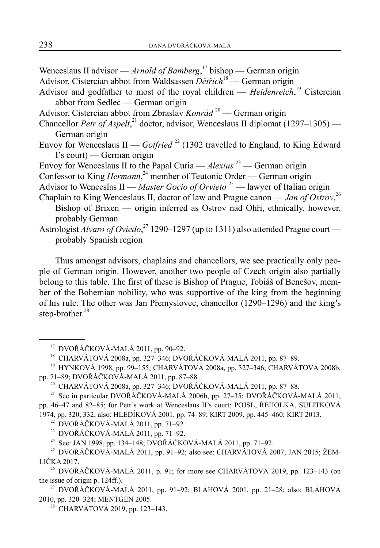Wenceslaus II advisor — *Arnold of Bamberg*, 17 bishop — German origin Advisor, Cistercian abbot from Waldsassen *Dětřich*<sup>18</sup> — German origin

- Advisor and godfather to most of the royal children *Heidenreich*, 19 Cistercian abbot from Sedlec — German origin
- Advisor, Cistercian abbot from Zbraslav *Konrád*<sup>20</sup> German origin
- Chancellor *Petr of Aspelt*,<sup>21</sup> doctor, advisor, Wenceslaus II diplomat (1297–1305) German origin
- Envoy for Wenceslaus II *Gotfried*<sup>22</sup> (1302 travelled to England, to King Edward I's court) — German origin
- Envoy for Wenceslaus II to the Papal Curia *Alexius*<sup>23</sup> German origin
- Confessor to King *Hermann*,<sup>24</sup> member of Teutonic Order German origin
- Advisor to Wenceslas II *Master Gocio of Orvieto* 25 lawyer of Italian origin
- Chaplain to King Wenceslaus II, doctor of law and Prague canon *Jan of Ostrov*, 26 Bishop of Brixen — origin inferred as Ostrov nad Ohří, ethnically, however, probably German
- Astrologist *Alvaro of Oviedo*,<sup>27</sup> 1290–1297 (up to 1311) also attended Prague court probably Spanish region

Thus amongst advisors, chaplains and chancellors, we see practically only people of German origin. However, another two people of Czech origin also partially belong to this table. The first of these is Bishop of Prague, Tobiáš of Benešov, member of the Bohemian nobility, who was supportive of the king from the beginning of his rule. The other was Jan Přemyslovec, chancellor (1290–1296) and the king's step-brother.<sup>28</sup>

<sup>23</sup> DVOŘÁČKOVÁ-MALÁ 2011, pp. 71–92.

 $17$  DVOŘÁČKOVÁ-MALÁ 2011, pp. 90–92.

<sup>18</sup> CHARVÁTOVÁ 2008a, pp. 327–346; DVOŘÁČKOVÁ-MALÁ 2011, pp. 87–89.

<sup>19</sup> HYNKOVÁ 1998, pp. 99–155; CHARVÁTOVÁ 2008a, pp. 327–346; CHARVÁTOVÁ 2008b, pp. 71–89; DVOŘÁČKOVÁ-MALÁ 2011, pp. 87–88.

<sup>20</sup> CHARVÁTOVÁ 2008a, pp. 327–346; DVOŘÁČKOVÁ-MALÁ 2011, pp. 87–88.

<sup>&</sup>lt;sup>21</sup> See in particular DVOŘÁČKOVÁ-MALÁ 2006b, pp. 27–35; DVOŘÁČKOVÁ-MALÁ 2011, pp. 46–47 and 82–85; for Petr's work at Wenceslaus II's court: POJSL, ŘEHOLKA, SULITKOVÁ 1974, pp. 320, 332; also: HLEDÍKOVÁ 2001, pp. 74–89; KIRT 2009, pp. 445–460; KIRT 2013.

 $22$  DVOŘÁČKOVÁ-MALÁ 2011, pp. 71–92

<sup>&</sup>lt;sup>24</sup> See: JAN 1998, pp. 134–148; DVOŘÁČKOVÁ-MALÁ 2011, pp. 71–92.

<sup>&</sup>lt;sup>25</sup> DVOŘÁČKOVÁ-MALÁ 2011, pp. 91–92; also see: CHARVÁTOVÁ 2007; JAN 2015; ŽEM-LIČKA 2017.

<sup>&</sup>lt;sup>26</sup> DVOŘÁČKOVÁ-MALÁ 2011, p. 91; for more see CHARVÁTOVÁ 2019, pp. 123–143 (on the issue of origin p. 124ff.).

<sup>&</sup>lt;sup>27</sup> DVOŘÁČKOVÁ-MALÁ 2011, pp. 91–92; BLÁHOVÁ 2001, pp. 21–28; also: BLÁHOVÁ 2010, pp. 320–324; MENTGEN 2005.

<sup>&</sup>lt;sup>28</sup> CHARVÁTOVÁ 2019, pp. 123–143.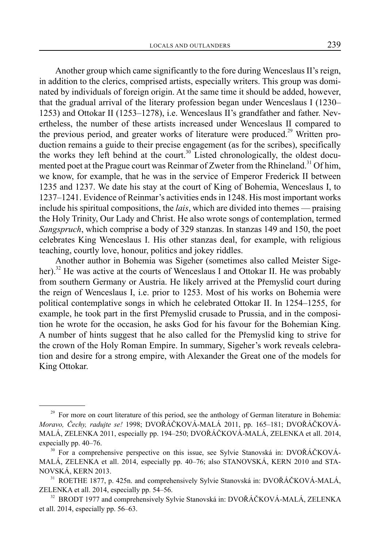Another group which came significantly to the fore during Wenceslaus II's reign, in addition to the clerics, comprised artists, especially writers. This group was dominated by individuals of foreign origin. At the same time it should be added, however, that the gradual arrival of the literary profession began under Wenceslaus I (1230– 1253) and Ottokar II (1253–1278), i.e. Wenceslaus II's grandfather and father. Nevertheless, the number of these artists increased under Wenceslaus II compared to the previous period, and greater works of literature were produced.<sup>29</sup> Written production remains a guide to their precise engagement (as for the scribes), specifically the works they left behind at the court.<sup>30</sup> Listed chronologically, the oldest documented poet at the Prague court was Reinmar of Zweter from the Rhineland.<sup>31</sup> Of him, we know, for example, that he was in the service of Emperor Frederick II between 1235 and 1237. We date his stay at the court of King of Bohemia, Wenceslaus I, to 1237–1241. Evidence of Reinmar's activities ends in 1248. His most important works include his spiritual compositions, the *lais*, which are divided into themes — praising the Holy Trinity, Our Lady and Christ. He also wrote songs of contemplation, termed *Sangspruch*, which comprise a body of 329 stanzas. In stanzas 149 and 150, the poet celebrates King Wenceslaus I. His other stanzas deal, for example, with religious teaching, courtly love, honour, politics and jokey riddles.

Another author in Bohemia was Sigeher (sometimes also called Meister Sigeher).<sup>32</sup> He was active at the courts of Wenceslaus I and Ottokar II. He was probably from southern Germany or Austria. He likely arrived at the Přemyslid court during the reign of Wenceslaus I, i.e. prior to 1253. Most of his works on Bohemia were political contemplative songs in which he celebrated Ottokar II. In 1254–1255, for example, he took part in the first Přemyslid crusade to Prussia, and in the composition he wrote for the occasion, he asks God for his favour for the Bohemian King. A number of hints suggest that he also called for the Přemyslid king to strive for the crown of the Holy Roman Empire. In summary, Sigeher's work reveals celebration and desire for a strong empire, with Alexander the Great one of the models for King Ottokar.

<sup>&</sup>lt;sup>29</sup> For more on court literature of this period, see the anthology of German literature in Bohemia: *Moravo, Čechy, radujte se!* 1998; DVOŘÁČKOVÁ-MALÁ 2011, pp. 165–181; DVOŘÁČKOVÁ-MALÁ, ZELENKA 2011, especially pp. 194–250; DVOŘÁČKOVÁ-MALÁ, ZELENKA et all. 2014, expecially pp. 40–76.

 $30$  For a comprehensive perspective on this issue, see Sylvie Stanovská in: DVOŘÁČKOVÁ-MALÁ, ZELENKA et all. 2014, especially pp. 40–76; also STANOVSKÁ, KERN 2010 and STA-NOVSKÁ, KERN 2013.

<sup>&</sup>lt;sup>31</sup> ROETHE 1877, p. 425n. and comprehensively Sylvie Stanovská in: DVOŘÁČKOVÁ-MALÁ, ZELENKA et all. 2014, especially pp. 54–56.

<sup>&</sup>lt;sup>32</sup> BRODT 1977 and comprehensively Sylvie Stanovská in: DVOŘÁČKOVÁ-MALÁ, ZELENKA et all. 2014, especially pp. 56–63.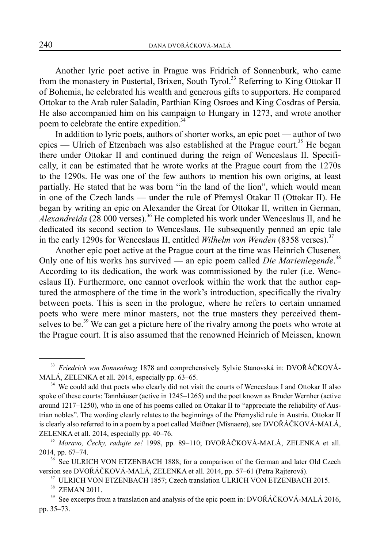Another lyric poet active in Prague was Fridrich of Sonnenburk, who came from the monastery in Pustertal, Brixen, South Tyrol.<sup>33</sup> Referring to King Ottokar II of Bohemia, he celebrated his wealth and generous gifts to supporters. He compared Ottokar to the Arab ruler Saladin, Parthian King Osroes and King Cosdras of Persia. He also accompanied him on his campaign to Hungary in 1273, and wrote another poem to celebrate the entire expedition.<sup>34</sup>

In addition to lyric poets, authors of shorter works, an epic poet — author of two epics — Ulrich of Etzenbach was also established at the Prague court.<sup>35</sup> He began there under Ottokar II and continued during the reign of Wenceslaus II. Specifically, it can be estimated that he wrote works at the Prague court from the 1270s to the 1290s. He was one of the few authors to mention his own origins, at least partially. He stated that he was born "in the land of the lion", which would mean in one of the Czech lands — under the rule of Přemysl Otakar II (Ottokar II). He began by writing an epic on Alexander the Great for Ottokar II, written in German, *Alexandreida* (28 000 verses).<sup>36</sup> He completed his work under Wenceslaus II, and he dedicated its second section to Wenceslaus. He subsequently penned an epic tale in the early 1290s for Wenceslaus II, entitled *Wilhelm von Wenden* (8358 verses).<sup>37</sup>

Another epic poet active at the Prague court at the time was Heinrich Clusener. Only one of his works has survived — an epic poem called *Die Marienlegende*.<sup>38</sup> According to its dedication, the work was commissioned by the ruler (i.e. Wenceslaus II). Furthermore, one cannot overlook within the work that the author captured the atmosphere of the time in the work's introduction, specifically the rivalry between poets. This is seen in the prologue, where he refers to certain unnamed poets who were mere minor masters, not the true masters they perceived themselves to be.<sup>39</sup> We can get a picture here of the rivalry among the poets who wrote at the Prague court. It is also assumed that the renowned Heinrich of Meissen, known

<sup>33</sup> *Friedrich von Sonnenburg* 1878 and comprehensively Sylvie Stanovská in: DVOŘÁČKOVÁ-MALÁ, ZELENKA et all. 2014, especially pp. 63–65.

<sup>&</sup>lt;sup>34</sup> We could add that poets who clearly did not visit the courts of Wenceslaus I and Ottokar II also spoke of these courts: Tannhäuser (active in 1245–1265) and the poet known as Bruder Wernher (active around 1217–1250), who in one of his poems called on Ottakar II to "appreciate the reliability of Austrian nobles". The wording clearly relates to the beginnings of the Přemyslid rule in Austria. Ottokar II is clearly also referred to in a poem by a poet called Meißner (Mîsnaere), see DVOŘÁČKOVÁ-MALÁ, ZELENKA et all. 2014, especially pp. 40–76.

<sup>35</sup> *Moravo, Čechy, radujte se!* 1998, pp. 89–110; DVOŘÁČKOVÁ-MALÁ, ZELENKA et all. 2014, pp. 67–74.

<sup>&</sup>lt;sup>36</sup> See ULRICH VON ETZENBACH 1888; for a comparison of the German and later Old Czech version see DVOŘÁČKOVÁ-MALÁ, ZELENKA et all. 2014, pp. 57–61 (Petra Rajterová).

<sup>&</sup>lt;sup>37</sup> ULRICH VON ETZENBACH 1857; Czech translation ULRICH VON ETZENBACH 2015.

<sup>38</sup> ZEMAN 2011.

<sup>&</sup>lt;sup>39</sup> See excerpts from a translation and analysis of the epic poem in: DVOŘÁČKOVÁ-MALÁ 2016, pp. 35–73.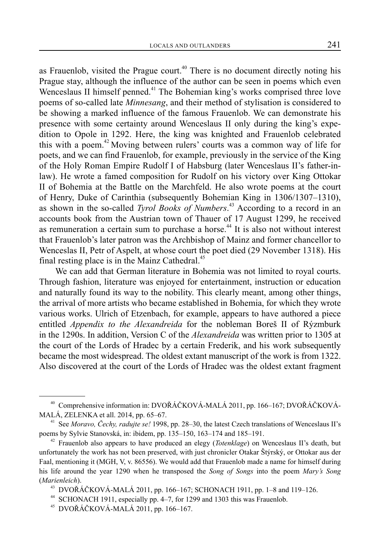as Frauenlob, visited the Prague court.<sup>40</sup> There is no document directly noting his Prague stay, although the influence of the author can be seen in poems which even Wenceslaus II himself penned.<sup>41</sup> The Bohemian king's works comprised three love poems of so-called late *Minnesang*, and their method of stylisation is considered to be showing a marked influence of the famous Frauenlob. We can demonstrate his presence with some certainty around Wenceslaus II only during the king's expedition to Opole in 1292. Here, the king was knighted and Frauenlob celebrated this with a poem.<sup>42</sup> Moving between rulers' courts was a common way of life for poets, and we can find Frauenlob, for example, previously in the service of the King of the Holy Roman Empire Rudolf I of Habsburg (later Wenceslaus II's father-inlaw). He wrote a famed composition for Rudolf on his victory over King Ottokar II of Bohemia at the Battle on the Marchfeld. He also wrote poems at the court of Henry, Duke of Carinthia (subsequently Bohemian King in 1306/1307–1310), as shown in the so-called *Tyrol Books of Numbers*. 43 According to a record in an accounts book from the Austrian town of Thauer of 17 August 1299, he received as remuneration a certain sum to purchase a horse.<sup>44</sup> It is also not without interest that Frauenlob's later patron was the Archbishop of Mainz and former chancellor to Wenceslas II, Petr of Aspelt, at whose court the poet died (29 November 1318). His final resting place is in the Mainz Cathedral.<sup>45</sup>

We can add that German literature in Bohemia was not limited to royal courts. Through fashion, literature was enjoyed for entertainment, instruction or education and naturally found its way to the nobility. This clearly meant, among other things, the arrival of more artists who became established in Bohemia, for which they wrote various works. Ulrich of Etzenbach, for example, appears to have authored a piece entitled *Appendix to the Alexandreida* for the nobleman Boreš II of Rýzmburk in the 1290s. In addition, Version C of the *Alexandreida* was written prior to 1305 at the court of the Lords of Hradec by a certain Frederik, and his work subsequently became the most widespread. The oldest extant manuscript of the work is from 1322. Also discovered at the court of the Lords of Hradec was the oldest extant fragment

<sup>40</sup> Comprehensive information in: DVOŘÁČKOVÁ-MALÁ 2011, pp. 166–167; DVOŘÁČKOVÁ-MALÁ, ZELENKA et all. 2014, pp. 65–67.

<sup>&</sup>lt;sup>41</sup> See *Moravo, Čechy, radujte se!* 1998, pp. 28–30, the latest Czech translations of Wenceslaus II's poems by Sylvie Stanovská, in: ibidem, pp. 135–150, 163–174 and 185–191.

<sup>42</sup> Frauenlob also appears to have produced an elegy (*Totenklage*) on Wenceslaus II's death, but unfortunately the work has not been preserved, with just chronicler Otakar Štýrský, or Ottokar aus der Faal, mentioning it (MGH, V, v. 86556). We would add that Frauenlob made a name for himself during his life around the year 1290 when he transposed the *Song of Songs* into the poem *Mary's Song* (*Marienleich*).

<sup>43</sup> DVOŘÁČKOVÁ-MALÁ 2011, pp. 166–167; SCHONACH 1911, pp. 1–8 and 119–126.

<sup>44</sup> SCHONACH 1911, especially pp. 4–7, for 1299 and 1303 this was Frauenlob.

<sup>45</sup> DVOŘÁČKOVÁ-MALÁ 2011, pp. 166–167.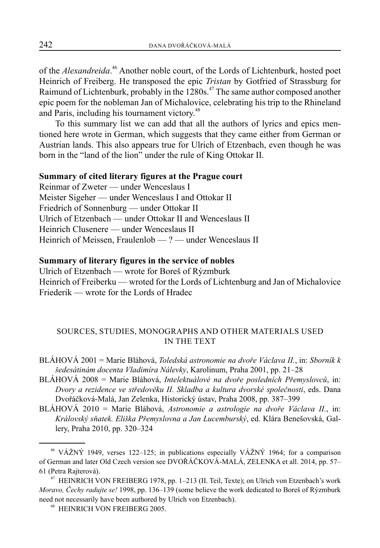of the *Alexandreida*. 46 Another noble court, of the Lords of Lichtenburk, hosted poet Heinrich of Freiberg. He transposed the epic *Tristan* by Gotfried of Strassburg for Raimund of Lichtenburk, probably in the 1280s.<sup>47</sup> The same author composed another epic poem for the nobleman Jan of Michalovice, celebrating his trip to the Rhineland and Paris, including his tournament victory.<sup>48</sup>

To this summary list we can add that all the authors of lyrics and epics mentioned here wrote in German, which suggests that they came either from German or Austrian lands. This also appears true for Ulrich of Etzenbach, even though he was born in the "land of the lion" under the rule of King Ottokar II.

#### **Summary of cited literary figures at the Prague court**

Reinmar of Zweter — under Wenceslaus I Meister Sigeher — under Wenceslaus I and Ottokar II Friedrich of Sonnenburg — under Ottokar II Ulrich of Etzenbach — under Ottokar II and Wenceslaus II Heinrich Clusenere — under Wenceslaus II Heinrich of Meissen, Fraulenlob — ? — under Wenceslaus II

# **Summary of literary figures in the service of nobles**

Ulrich of Etzenbach — wrote for Boreš of Rýzmburk Heinrich of Freiberku — wroted for the Lords of Lichtenburg and Jan of Michalovice Friederik — wrote for the Lords of Hradec

# SOURCES, STUDIES, MONOGRAPHS AND OTHER MATERIALS USED IN THE TEXT

- BLÁHOVÁ 2001 = Marie Bláhová, *Toledská astronomie na dvoře Václava II.*, in: *Sborník k šedesátinám docenta Vladimíra Nálevky*, Karolinum, Praha 2001, pp. 21–28
- BLÁHOVÁ 2008 = Marie Bláhová, *Intelektuálové na dvoře posledních Přemyslovců*, in: *Dvory a rezidence ve středověku II. Skladba a kultura dvorské společnosti*, eds. Dana Dvořáčková-Malá, Jan Zelenka, Historický ústav, Praha 2008, pp. 387–399
- BLÁHOVÁ 2010 = Marie Bláhová, *Astronomie a astrologie na dvoře Václava II.*, in: *Královský sňatek. Eliška Přemyslovna a Jan Lucemburský*, ed. Klára Benešovská, Gallery, Praha 2010, pp. 320–324

<sup>46</sup> VÁŽNÝ 1949, verses 122–125; in publications especially VÁŽNÝ 1964; for a comparison of German and later Old Czech version see DVOŘÁČKOVÁ-MALÁ, ZELENKA et all. 2014, pp. 57– 61 (Petra Rajterová).

<sup>47</sup> HEINRICH VON FREIBERG 1978, pp. 1–213 (II. Teil, Texte); on Ulrich von Etzenbach's work *Moravo, Čechy radujte se!* 1998, pp. 136–139 (some believe the work dedicated to Boreš of Rýzmburk need not necessarily have been authored by Ulrich von Etzenbach).

<sup>48</sup> HEINRICH VON FREIBERG 2005.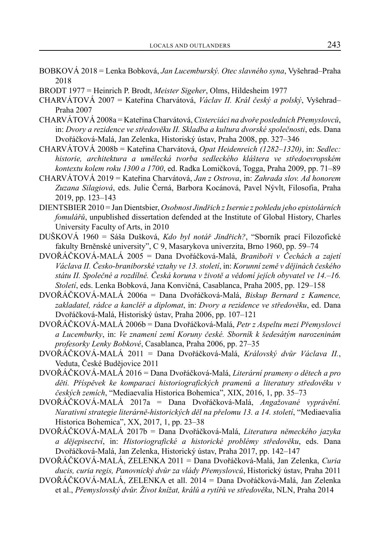- BOBKOVÁ 2018 = Lenka Bobková, *Jan Lucemburský. Otec slavného syna*, Vyšehrad–Praha 2018
- BRODT 1977 = Heinrich P. Brodt, *Meister Sigeher*, Olms, Hildesheim 1977
- CHARVÁTOVÁ 2007 = Kateřina Charvátová, *Václav II. Král český a polský*, Vyšehrad– Praha 2007
- CHARVÁTOVÁ 2008a = Kateřina Charvátová, *Cisterciáci na dvoře posledních Přemyslovců*, in: *Dvory a rezidence ve středověku II. Skladba a kultura dvorské společnosti*, eds. Dana Dvořáčková-Malá, Jan Zelenka, Historiský ústav, Praha 2008, pp. 327–346
- CHARVÁTOVÁ 2008b = Kateřina Charvátová, *Opat Heidenreich (1282–1320)*, in: *Sedlec: historie, architektura a umělecká tvorba sedleckého kláštera ve středoevropském kontextu kolem roku 1300 a 1700*, ed. Radka Lomičková, Togga, Praha 2009, pp. 71–89
- CHARVÁTOVÁ 2019 = Kateřina Charvátová, *Jan z Ostrova*, in: *Zahrada slov. Ad honorem Zuzana Silagiová*, eds. Julie Černá, Barbora Kocánová, Pavel Nývlt, Filosofia, Praha 2019, pp. 123–143
- DIENTSBIER 2010 = Jan Dientsbier, *Osobnost Jindřich z Isernie z pohledu jeho epistolárních fomulářů*, unpublished dissertation defended at the Institute of Global History, Charles University Faculty of Arts, in 2010
- DUŠKOVÁ 1960 = Sáša Dušková, *Kdo byl notář Jindřich?*, "Sborník prací Filozofické fakulty Brněnské university", C 9, Masarykova univerzita, Brno 1960, pp. 59–74
- DVOŘÁČKOVÁ-MALÁ 2005 = Dana Dvořáčková-Malá, *Braniboři v Čechách a zajetí Václava II. Česko-braniborské vztahy ve 13. století*, in: *Korunní země v dějinách českého státu II. Společné a rozdílné. Česká koruna v životě a vědomí jejích obyvatel ve 14.–16. Století*, eds. Lenka Bobková, Jana Konvičná, Casablanca, Praha 2005, pp. 129–158
- DVOŘÁČKOVÁ-MALÁ 2006a = Dana Dvořáčková-Malá, *Biskup Bernard z Kamence, zakladatel, rádce a kancléř a diplomat*, in: *Dvory a rezidence ve středověku*, ed. Dana Dvořáčková-Malá, Historiský ústav, Praha 2006, pp. 107–121
- DVOŘÁČKOVÁ-MALÁ 2006b = Dana Dvořáčková-Malá, *Petr z Aspeltu mezi Přemyslovci a Lucemburky*, in: *Ve znamení zemí Koruny české. Sborník k šedesátým narozeninám profesorky Lenky Bobkové*, Casablanca, Praha 2006, pp. 27–35
- DVOŘÁČKOVÁ-MALÁ 2011 = Dana Dvořáčková-Malá, *Královský dvůr Václava II.*, Veduta, České Budějovice 2011
- DVOŘÁČKOVÁ-MALÁ 2016 = Dana Dvořáčková-Malá, *Literární prameny o dětech a pro děti. Příspěvek ke komparaci historiografických pramenů a literatury středověku v českých zemích*, "Mediaevalia Historica Bohemica", XIX, 2016, 1, pp. 35–73
- DVOŘÁČKOVÁ-MALÁ 2017a = Dana Dvořáčková-Malá, *Angažované vyprávění. Narativní strategie literárně-historických děl na přelomu 13. a 14. století*, "Mediaevalia Historica Bohemica", XX, 2017, 1, pp. 23–38
- DVOŘÁČKOVÁ-MALÁ 2017b = Dana Dvořáčková-Malá, *Literatura německého jazyka a dějepisectví*, in: *Historiografické a historické problémy středověku*, eds. Dana Dvořáčková-Malá, Jan Zelenka, Historický ústav, Praha 2017, pp. 142–147
- DVOŘÁČKOVÁ-MALÁ, ZELENKA 2011 = Dana Dvořáčková-Malá, Jan Zelenka, *Curia ducis, curia regis, Panovnický dvůr za vlády Přemyslovců*, Historický ústav, Praha 2011
- DVOŘÁČKOVÁ-MALÁ, ZELENKA et all. 2014 = Dana Dvořáčková-Malá, Jan Zelenka et al., *Přemyslovský dvůr. Život knížat, králů a rytířů ve středověku*, NLN, Praha 2014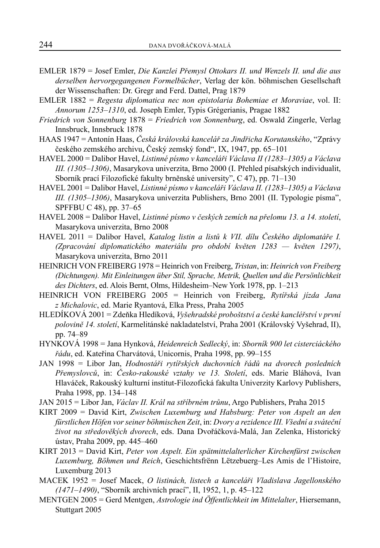- EMLER 1879 = Josef Emler, *Die Kanzlei Přemysl Ottokars II. und Wenzels II. und die aus derselben hervorgegangenen Formelbücher*, Verlag der kön. böhmischen Gesellschaft der Wissenschaften: Dr. Gregr and Ferd. Dattel, Prag 1879
- EMLER 1882 = *Regesta diplomatica nec non epistolaria Bohemiae et Moraviae*, vol. II: *Annorum 1253–1310*, ed. Joseph Emler, Typis Grégerianis, Pragae 1882
- *Friedrich von Sonnenburg* 1878 = *Friedrich von Sonnenburg*, ed. Oswald Zingerle, Verlag Innsbruck, Innsbruck 1878
- HAAS 1947 = Antonín Haas, *Česká královská kancelář za Jindřicha Korutanského*, "Zprávy českého zemského archivu, Český zemský fond", IX, 1947, pp. 65–101
- HAVEL 2000 = Dalibor Havel, *Listinné písmo v kanceláři Václava II (1283–1305) a Václava III. (1305–1306)*, Masarykova univerzita, Brno 2000 (I. Přehled písařských individualit, Sborník prací Filozofické fakulty brněnské university", C 47), pp. 71–130
- HAVEL 2001 = Dalibor Havel, *Listinné písmo v kanceláři Václava II. (1283–1305) a Václava III. (1305–1306)*, Masarykova univerzita Publishers, Brno 2001 (II. Typologie písma", SPFFBU C 48), pp. 37–65
- HAVEL 2008 = Dalibor Havel, *Listinné písmo v českých zemích na přelomu 13. a 14. století*, Masarykova univerzita, Brno 2008
- HAVEL 2011 = Dalibor Havel, *Katalog listin a listů k VII. dílu Českého diplomatáře I. (Zpracování diplomatického materiálu pro období květen 1283 — květen 1297)*, Masarykova univerzita, Brno 2011
- HEINRICH VON FREIBERG 1978 = Heinrich von Freiberg, *Tristan*, in: *Heinrich von Freiberg (Dichtungen). Mit Einleitungen über Stil, Sprache, Metrik, Quellen und die Persönlichkeit des Dichters*, ed. Alois Bernt, Olms, Hildesheim–New York 1978, pp. 1–213
- HEINRICH VON FREIBERG 2005 = Heinrich von Freiberg, *Rytířská jízda Jana z Michalovic*, ed. Marie Ryantová, Elka Press, Praha 2005
- HLEDÍKOVÁ 2001 = Zdeňka Hledíková, *Vyšehradské proboštství a české kancléřství v první polovině 14. století*, Karmelitánské nakladatelství, Praha 2001 (Královský Vyšehrad, II), pp. 74–89
- HYNKOVÁ 1998 = Jana Hynková, *Heidenreich Sedlecký*, in: *Sborník 900 let cisterciáckého řádu*, ed. Kateřina Charvátová, Unicornis, Praha 1998, pp. 99–155
- JAN 1998 = Libor Jan, *Hodnostáři rytířských duchovních řádů na dvorech posledních Přemyslovců*, in: *Česko-rakouské vztahy ve 13. Století*, eds. Marie Bláhová, Ivan Hlaváček, Rakouský kulturní institut-Filozofická fakulta Univerzity Karlovy Publishers, Praha 1998, pp. 134–148
- JAN 2015 = Libor Jan, *Václav II. Král na stříbrném trůnu*, Argo Publishers, Praha 2015
- KIRT 2009 = David Kirt, *Zwischen Luxemburg und Habsburg: Peter von Aspelt an den fürstlichen Höfen vor seiner böhmischen Zeit*, in: *Dvory a rezidence III. Všední a sváteční život na středověkých dvorech*, eds. Dana Dvořáčková-Malá, Jan Zelenka, Historický ústav, Praha 2009, pp. 445–460
- KIRT 2013 = David Kirt, *Peter von Aspelt. Ein spätmittelalterlicher Kirchenfürst zwischen Luxemburg, Böhmen und Reich*, Geschichtsfrënn Lëtzebuerg–Les Amis de l'Histoire, Luxemburg 2013
- MACEK 1952 = Josef Macek, *O listinách, listech a kanceláři Vladislava Jagellonského (1471–1490)*, "Sborník archivních prací", II, 1952, 1, p. 45–122
- MENTGEN 2005 = Gerd Mentgen, *Astrologie ind Öffentlichkeit im Mittelalter*, Hiersemann, Stuttgart 2005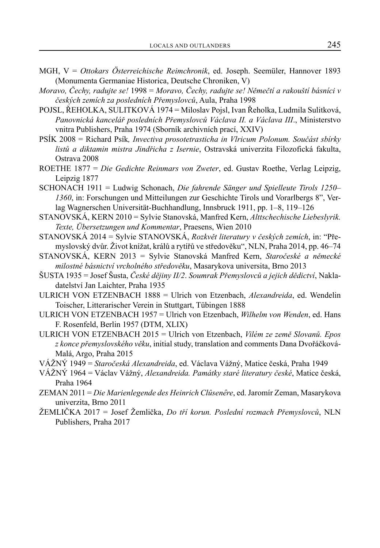- MGH, V = *Ottokars Österreichische Reimchronik*, ed. Joseph. Seemüler, Hannover 1893 (Monumenta Germaniae Historica, Deutsche Chroniken, V)
- *Moravo, Čechy, radujte se!* 1998 = *Moravo, Čechy, radujte se! Němečtí a rakouští básníci v českých zemích za posledních Přemyslovců*, Aula, Praha 1998
- POJSL, ŘEHOLKA, SULITKOVÁ 1974 = Miloslav Pojsl, Ivan Řeholka, Ludmila Sulitková, *Panovnická kancelář posledních Přemyslovců Václava II. a Václava III*., Ministerstvo vnitra Publishers, Praha 1974 (Sborník archivních prací, XXIV)
- PSÍK 2008 = Richard Psík*, Invectiva prosotetrasticha in Vlricum Polonum. Součást sbírky listů a diktamin mistra Jindřicha z Isernie*, Ostravská univerzita Filozofická fakulta, Ostrava 2008
- ROETHE 1877 = *Die Gedichte Reinmars von Zweter*, ed. Gustav Roethe, Verlag Leipzig, Leipzig 1877
- SCHONACH 1911 = Ludwig Schonach, *Die fahrende Sänger und Spielleute Tirols 1250– 1360*, in: Forschungen und Mitteilungen zur Geschichte Tirols und Vorarlbergs 8", Verlag Wagnerschen Universität-Buchhandlung, Innsbruck 1911, pp. 1–8, 119–126
- STANOVSKÁ, KERN 2010 = Sylvie Stanovská, Manfred Kern, *Alttschechische Liebeslyrik. Texte, Übersetzungen und Kommentar*, Praesens, Wien 2010
- STANOVSKÁ 2014 = Sylvie STANOVSKÁ, *Rozkvět literatury v českých zemích*, in: "Přemyslovský dvůr. Život knížat, králů a rytířů ve středověku", NLN, Praha 2014, pp. 46–74
- STANOVSKÁ, KERN 2013 = Sylvie Stanovská Manfred Kern, *Staročeské a německé milostné básnictví vrcholného středověku*, Masarykova universita, Brno 2013
- ŠUSTA 1935 = Josef Šusta, *České dějiny II/2*. *Soumrak Přemyslovců a jejich dědictví*, Nakladatelství Jan Laichter, Praha 1935
- ULRICH VON ETZENBACH 1888 = Ulrich von Etzenbach, *Alexandreida*, ed. Wendelin Toischer, Litterarischer Verein in Stuttgart, Tübingen 1888
- ULRICH VON ETZENBACH 1957 = Ulrich von Etzenbach, *Wilhelm von Wenden*, ed. Hans F. Rosenfeld, Berlin 1957 (DTM, XLIX)
- ULRICH VON ETZENBACH 2015 = Ulrich von Etzenbach, *Vilém ze země Slovanů. Epos z konce přemyslovského věku*, initial study, translation and comments Dana Dvořáčková-Malá, Argo, Praha 2015
- VÁŽNÝ 1949 = *Staročeská Alexandreida*, ed. Václava Vážný, Matice česká, Praha 1949
- VÁŽNÝ 1964 = Václav Vážný, *Alexandreida. Památky staré literatury české*, Matice česká, Praha 1964
- ZEMAN 2011 = *Die Marienlegende des Heinrich Clûsenêre*, ed. Jaromír Zeman, Masarykova univerzita, Brno 2011
- ŽEMLIČKA 2017 = Josef Žemlička, *Do tří korun. Poslední rozmach Přemyslovců*, NLN Publishers, Praha 2017